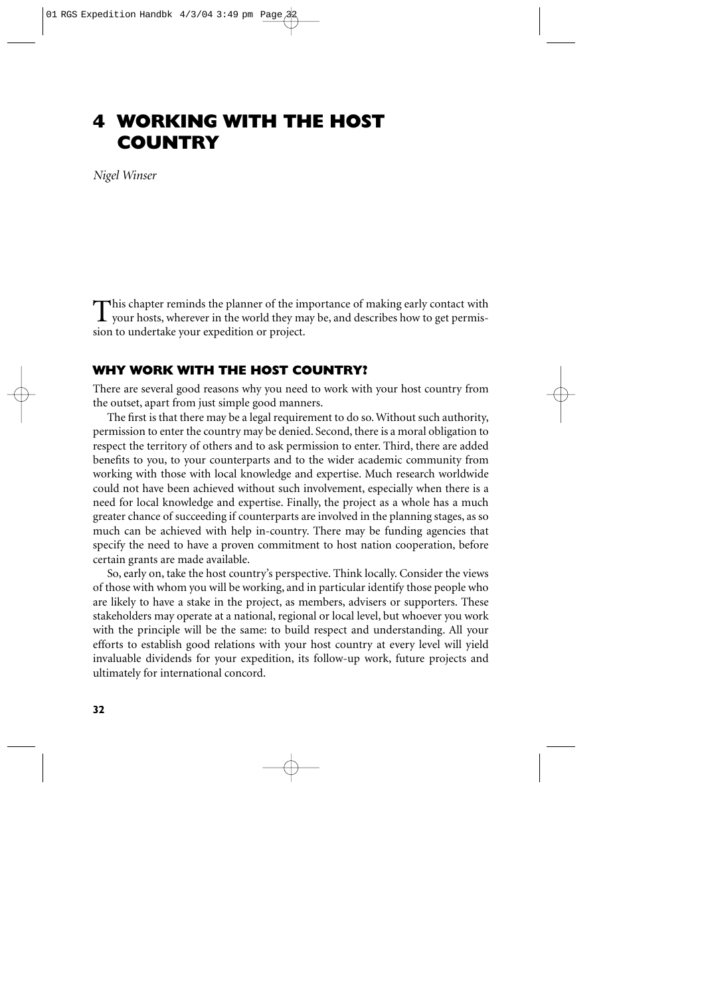# **4 WORKING WITH THE HOST COUNTRY**

*Nigel Winser* 

This chapter reminds the planner of the importance of making early contact with<br>your hosts, wherever in the world they may be, and describes how to get permission to undertake your expedition or project.

## **WHY WORK WITH THE HOST COUNTRY?**

There are several good reasons why you need to work with your host country from the outset, apart from just simple good manners.

The first is that there may be a legal requirement to do so. Without such authority, permission to enter the country may be denied. Second, there is a moral obligation to respect the territory of others and to ask permission to enter. Third, there are added benefits to you, to your counterparts and to the wider academic community from working with those with local knowledge and expertise. Much research worldwide could not have been achieved without such involvement, especially when there is a need for local knowledge and expertise. Finally, the project as a whole has a much greater chance of succeeding if counterparts are involved in the planning stages, as so much can be achieved with help in-country. There may be funding agencies that specify the need to have a proven commitment to host nation cooperation, before certain grants are made available.

So, early on, take the host country's perspective. Think locally. Consider the views of those with whom you will be working, and in particular identify those people who are likely to have a stake in the project, as members, advisers or supporters. These stakeholders may operate at a national, regional or local level, but whoever you work with the principle will be the same: to build respect and understanding. All your efforts to establish good relations with your host country at every level will yield invaluable dividends for your expedition, its follow-up work, future projects and ultimately for international concord.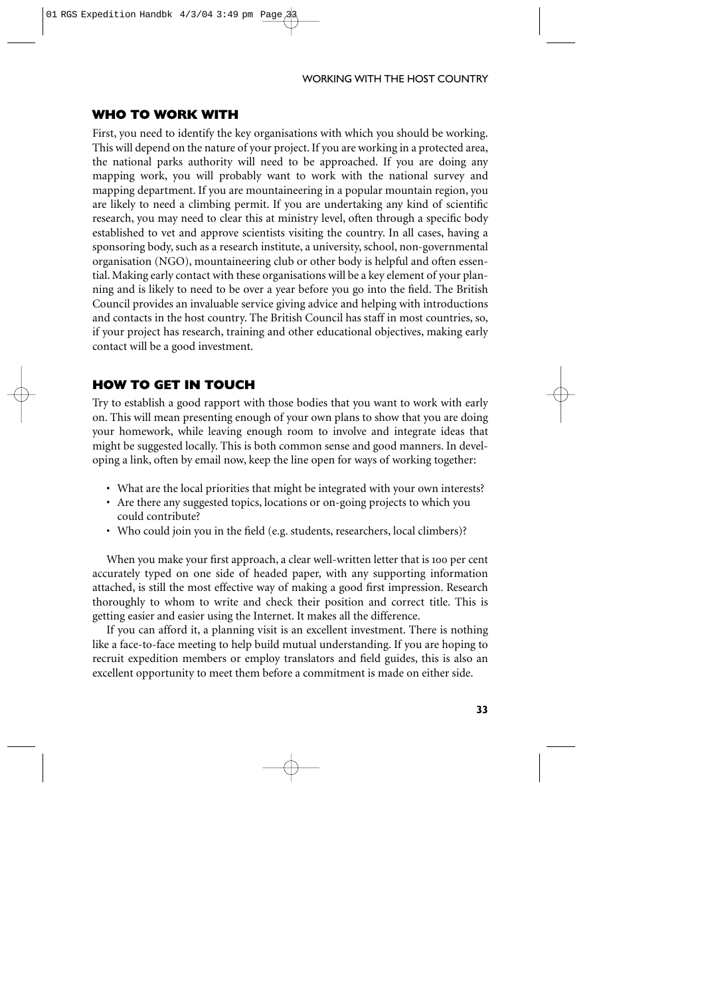### **WHO TO WORK WITH**

01 RGS Expedition Handbk 4/3/04 3:49 pm Page

First, you need to identify the key organisations with which you should be working. This will depend on the nature of your project. If you are working in a protected area, the national parks authority will need to be approached. If you are doing any mapping work, you will probably want to work with the national survey and mapping department. If you are mountaineering in a popular mountain region, you are likely to need a climbing permit. If you are undertaking any kind of scientific research, you may need to clear this at ministry level, often through a specific body established to vet and approve scientists visiting the country. In all cases, having a sponsoring body, such as a research institute, a university, school, non-governmental organisation (NGO), mountaineering club or other body is helpful and often essential. Making early contact with these organisations will be a key element of your planning and is likely to need to be over a year before you go into the field. The British Council provides an invaluable service giving advice and helping with introductions and contacts in the host country. The British Council has staff in most countries, so, if your project has research, training and other educational objectives, making early contact will be a good investment.

## **HOW TO GET IN TOUCH**

Try to establish a good rapport with those bodies that you want to work with early on. This will mean presenting enough of your own plans to show that you are doing your homework, while leaving enough room to involve and integrate ideas that might be suggested locally. This is both common sense and good manners. In developing a link, often by email now, keep the line open for ways of working together:

- What are the local priorities that might be integrated with your own interests?
- Are there any suggested topics, locations or on-going projects to which you could contribute?
- Who could join you in the field (e.g. students, researchers, local climbers)?

When you make your first approach, a clear well-written letter that is 100 per cent accurately typed on one side of headed paper, with any supporting information attached, is still the most effective way of making a good first impression. Research thoroughly to whom to write and check their position and correct title. This is getting easier and easier using the Internet. It makes all the difference.

If you can afford it, a planning visit is an excellent investment. There is nothing like a face-to-face meeting to help build mutual understanding. If you are hoping to recruit expedition members or employ translators and field guides, this is also an excellent opportunity to meet them before a commitment is made on either side.

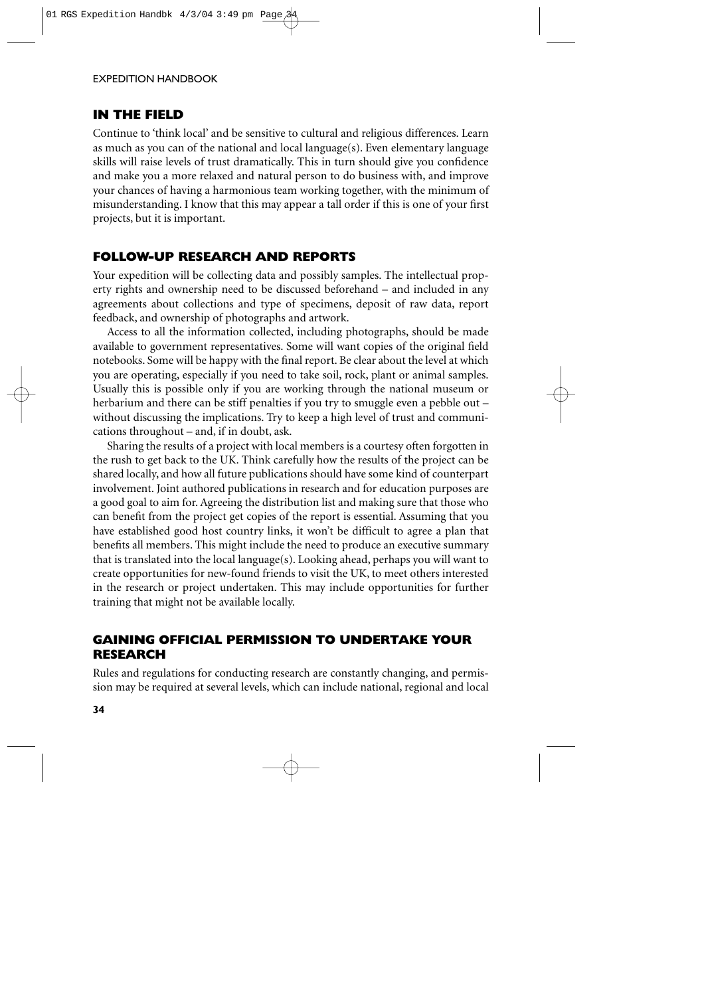#### EXPEDITION HANDBOOK

#### **IN THE FIELD**

Continue to 'think local' and be sensitive to cultural and religious differences. Learn as much as you can of the national and local language(s). Even elementary language skills will raise levels of trust dramatically. This in turn should give you confidence and make you a more relaxed and natural person to do business with, and improve your chances of having a harmonious team working together, with the minimum of misunderstanding. I know that this may appear a tall order if this is one of your first projects, but it is important.

## **FOLLOW-UP RESEARCH AND REPORTS**

Your expedition will be collecting data and possibly samples. The intellectual property rights and ownership need to be discussed beforehand – and included in any agreements about collections and type of specimens, deposit of raw data, report feedback, and ownership of photographs and artwork.

Access to all the information collected, including photographs, should be made available to government representatives. Some will want copies of the original field notebooks. Some will be happy with the final report. Be clear about the level at which you are operating, especially if you need to take soil, rock, plant or animal samples. Usually this is possible only if you are working through the national museum or herbarium and there can be stiff penalties if you try to smuggle even a pebble out – without discussing the implications. Try to keep a high level of trust and communications throughout – and, if in doubt, ask.

Sharing the results of a project with local members is a courtesy often forgotten in the rush to get back to the UK. Think carefully how the results of the project can be shared locally, and how all future publications should have some kind of counterpart involvement. Joint authored publications in research and for education purposes are a good goal to aim for. Agreeing the distribution list and making sure that those who can benefit from the project get copies of the report is essential. Assuming that you have established good host country links, it won't be difficult to agree a plan that benefits all members. This might include the need to produce an executive summary that is translated into the local language(s). Looking ahead, perhaps you will want to create opportunities for new-found friends to visit the UK, to meet others interested in the research or project undertaken. This may include opportunities for further training that might not be available locally.

## **GAINING OFFICIAL PERMISSION TO UNDERTAKE YOUR RESEARCH**

Rules and regulations for conducting research are constantly changing, and permission may be required at several levels, which can include national, regional and local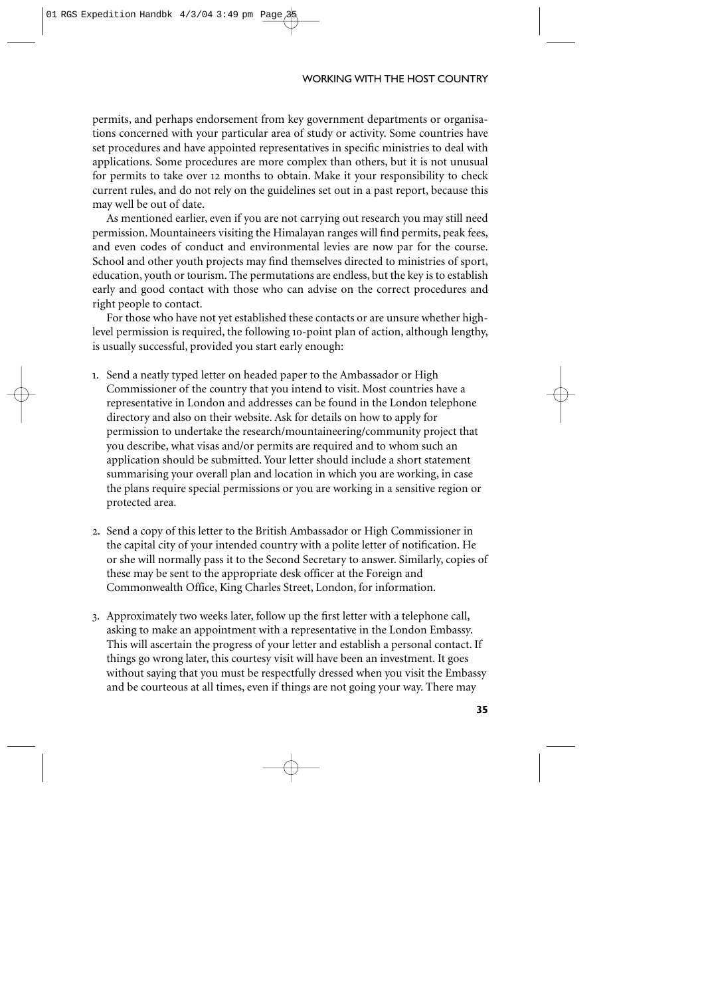#### WORKING WITH THE HOST COUNTRY

permits, and perhaps endorsement from key government departments or organisations concerned with your particular area of study or activity. Some countries have set procedures and have appointed representatives in specific ministries to deal with applications. Some procedures are more complex than others, but it is not unusual for permits to take over 12 months to obtain. Make it your responsibility to check current rules, and do not rely on the guidelines set out in a past report, because this may well be out of date.

As mentioned earlier, even if you are not carrying out research you may still need permission. Mountaineers visiting the Himalayan ranges will find permits, peak fees, and even codes of conduct and environmental levies are now par for the course. School and other youth projects may find themselves directed to ministries of sport, education, youth or tourism. The permutations are endless, but the key is to establish early and good contact with those who can advise on the correct procedures and right people to contact.

For those who have not yet established these contacts or are unsure whether highlevel permission is required, the following 10-point plan of action, although lengthy, is usually successful, provided you start early enough:

- 1. Send a neatly typed letter on headed paper to the Ambassador or High Commissioner of the country that you intend to visit. Most countries have a representative in London and addresses can be found in the London telephone directory and also on their website. Ask for details on how to apply for permission to undertake the research/mountaineering/community project that you describe, what visas and/or permits are required and to whom such an application should be submitted. Your letter should include a short statement summarising your overall plan and location in which you are working, in case the plans require special permissions or you are working in a sensitive region or protected area.
- 2. Send a copy of this letter to the British Ambassador or High Commissioner in the capital city of your intended country with a polite letter of notification. He or she will normally pass it to the Second Secretary to answer. Similarly, copies of these may be sent to the appropriate desk officer at the Foreign and Commonwealth Office, King Charles Street, London, for information.
- 3. Approximately two weeks later, follow up the first letter with a telephone call, asking to make an appointment with a representative in the London Embassy. This will ascertain the progress of your letter and establish a personal contact. If things go wrong later, this courtesy visit will have been an investment. It goes without saying that you must be respectfully dressed when you visit the Embassy and be courteous at all times, even if things are not going your way. There may

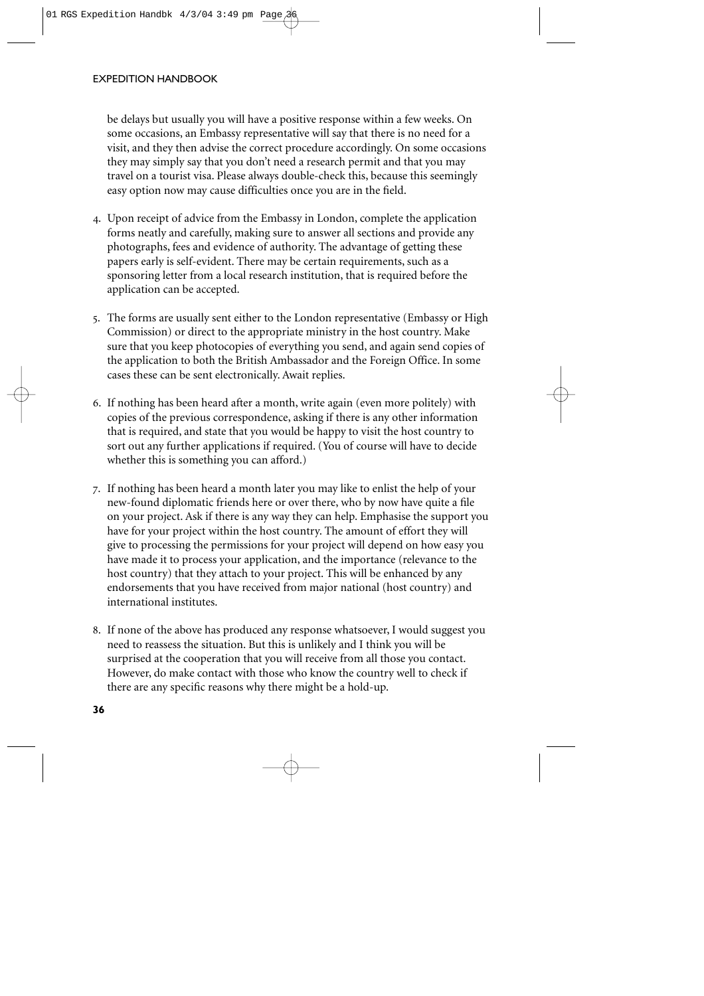#### EXPEDITION HANDBOOK

be delays but usually you will have a positive response within a few weeks. On some occasions, an Embassy representative will say that there is no need for a visit, and they then advise the correct procedure accordingly. On some occasions they may simply say that you don't need a research permit and that you may travel on a tourist visa. Please always double-check this, because this seemingly easy option now may cause difficulties once you are in the field.

- 4. Upon receipt of advice from the Embassy in London, complete the application forms neatly and carefully, making sure to answer all sections and provide any photographs, fees and evidence of authority. The advantage of getting these papers early is self-evident. There may be certain requirements, such as a sponsoring letter from a local research institution, that is required before the application can be accepted.
- 5. The forms are usually sent either to the London representative (Embassy or High Commission) or direct to the appropriate ministry in the host country. Make sure that you keep photocopies of everything you send, and again send copies of the application to both the British Ambassador and the Foreign Office. In some cases these can be sent electronically. Await replies.
- 6. If nothing has been heard after a month, write again (even more politely) with copies of the previous correspondence, asking if there is any other information that is required, and state that you would be happy to visit the host country to sort out any further applications if required. (You of course will have to decide whether this is something you can afford.)
- 7. If nothing has been heard a month later you may like to enlist the help of your new-found diplomatic friends here or over there, who by now have quite a file on your project. Ask if there is any way they can help. Emphasise the support you have for your project within the host country. The amount of effort they will give to processing the permissions for your project will depend on how easy you have made it to process your application, and the importance (relevance to the host country) that they attach to your project. This will be enhanced by any endorsements that you have received from major national (host country) and international institutes.
- 8. If none of the above has produced any response whatsoever, I would suggest you need to reassess the situation. But this is unlikely and I think you will be surprised at the cooperation that you will receive from all those you contact. However, do make contact with those who know the country well to check if there are any specific reasons why there might be a hold-up.

**36**